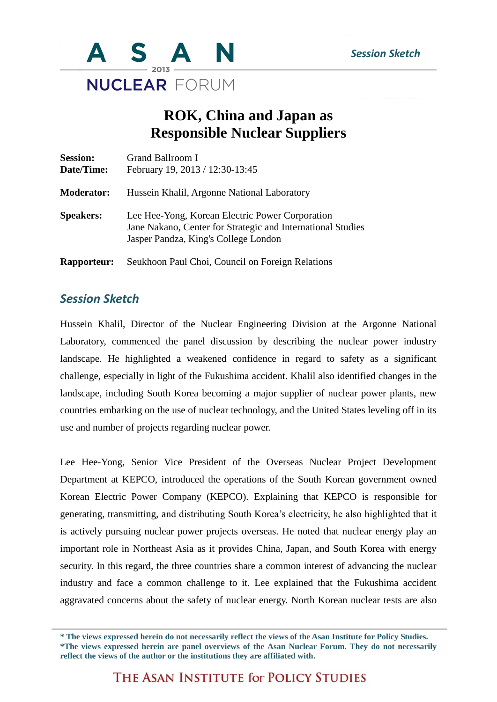

## **ROK, China and Japan as Responsible Nuclear Suppliers**

| <b>Session:</b><br>Date/Time: | Grand Ballroom I<br>February 19, 2013 / 12:30-13:45                                                                                                    |
|-------------------------------|--------------------------------------------------------------------------------------------------------------------------------------------------------|
| <b>Moderator:</b>             | Hussein Khalil, Argonne National Laboratory                                                                                                            |
| <b>Speakers:</b>              | Lee Hee-Yong, Korean Electric Power Corporation<br>Jane Nakano, Center for Strategic and International Studies<br>Jasper Pandza, King's College London |
| <b>Rapporteur:</b>            | Seukhoon Paul Choi, Council on Foreign Relations                                                                                                       |

## *Session Sketch*

Hussein Khalil, Director of the Nuclear Engineering Division at the Argonne National Laboratory, commenced the panel discussion by describing the nuclear power industry landscape. He highlighted a weakened confidence in regard to safety as a significant challenge, especially in light of the Fukushima accident. Khalil also identified changes in the landscape, including South Korea becoming a major supplier of nuclear power plants, new countries embarking on the use of nuclear technology, and the United States leveling off in its use and number of projects regarding nuclear power.

Lee Hee-Yong, Senior Vice President of the Overseas Nuclear Project Development Department at KEPCO, introduced the operations of the South Korean government owned Korean Electric Power Company (KEPCO). Explaining that KEPCO is responsible for generating, transmitting, and distributing South Korea's electricity, he also highlighted that it is actively pursuing nuclear power projects overseas. He noted that nuclear energy play an important role in Northeast Asia as it provides China, Japan, and South Korea with energy security. In this regard, the three countries share a common interest of advancing the nuclear industry and face a common challenge to it. Lee explained that the Fukushima accident aggravated concerns about the safety of nuclear energy. North Korean nuclear tests are also

THE ASAN INSTITUTE for POLICY STUDIES

**<sup>\*</sup> The views expressed herein do not necessarily reflect the views of the Asan Institute for Policy Studies. \*The views expressed herein are panel overviews of the Asan Nuclear Forum. They do not necessarily reflect the views of the author or the institutions they are affiliated with.**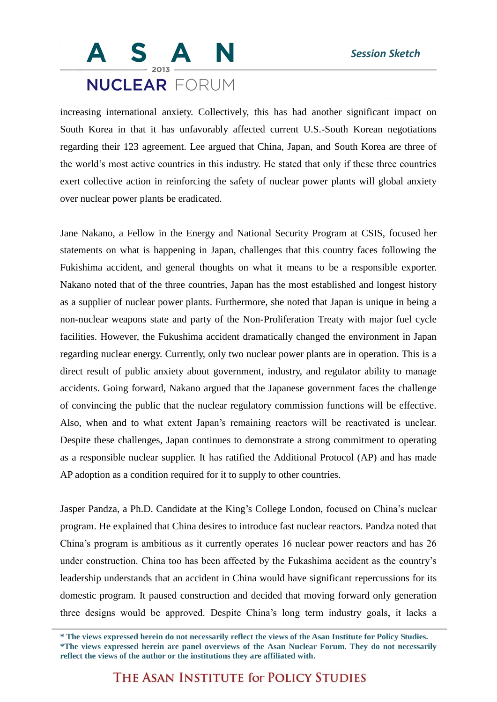## **NUCLEAR FORUM**

increasing international anxiety. Collectively, this has had another significant impact on South Korea in that it has unfavorably affected current U.S.-South Korean negotiations regarding their 123 agreement. Lee argued that China, Japan, and South Korea are three of the world's most active countries in this industry. He stated that only if these three countries exert collective action in reinforcing the safety of nuclear power plants will global anxiety over nuclear power plants be eradicated.

Jane Nakano, a Fellow in the Energy and National Security Program at CSIS, focused her statements on what is happening in Japan, challenges that this country faces following the Fukishima accident, and general thoughts on what it means to be a responsible exporter. Nakano noted that of the three countries, Japan has the most established and longest history as a supplier of nuclear power plants. Furthermore, she noted that Japan is unique in being a non-nuclear weapons state and party of the Non-Proliferation Treaty with major fuel cycle facilities. However, the Fukushima accident dramatically changed the environment in Japan regarding nuclear energy. Currently, only two nuclear power plants are in operation. This is a direct result of public anxiety about government, industry, and regulator ability to manage accidents. Going forward, Nakano argued that the Japanese government faces the challenge of convincing the public that the nuclear regulatory commission functions will be effective. Also, when and to what extent Japan's remaining reactors will be reactivated is unclear. Despite these challenges, Japan continues to demonstrate a strong commitment to operating as a responsible nuclear supplier. It has ratified the Additional Protocol (AP) and has made AP adoption as a condition required for it to supply to other countries.

Jasper Pandza, a Ph.D. Candidate at the King's College London, focused on China's nuclear program. He explained that China desires to introduce fast nuclear reactors. Pandza noted that China's program is ambitious as it currently operates 16 nuclear power reactors and has 26 under construction. China too has been affected by the Fukashima accident as the country's leadership understands that an accident in China would have significant repercussions for its domestic program. It paused construction and decided that moving forward only generation three designs would be approved. Despite China's long term industry goals, it lacks a

**<sup>\*</sup> The views expressed herein do not necessarily reflect the views of the Asan Institute for Policy Studies. \*The views expressed herein are panel overviews of the Asan Nuclear Forum. They do not necessarily reflect the views of the author or the institutions they are affiliated with.**